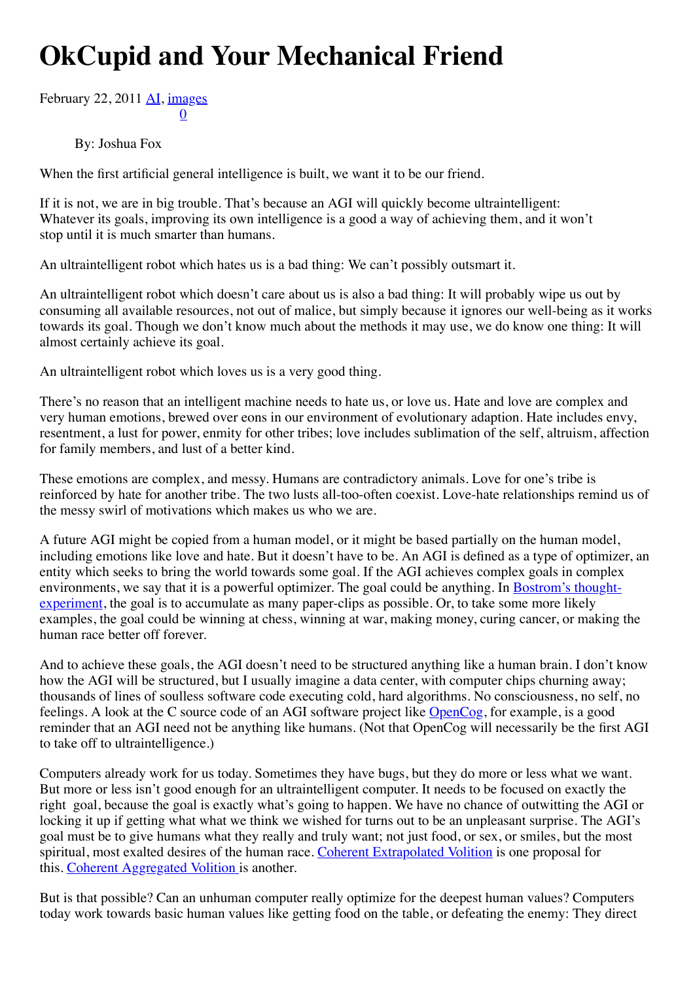## **OkCupid and Your Mechanical Friend**

[0](http://hplusmagazine.com/2011/02/22/okcupid-and-your-mechanical-friend/#) [Febru](http://hplusmagazine.com/2011/02/22/okcupid-and-your-mechanical-friend/#)[ary](http://www.addthis.com/bookmark.php?v=300&winname=addthis&pub=unknown&source=tbx-300&lng=en-US&s=google_plusone_share&url=file%3A%2F%2F%2FUsers%2Fjoshua%2FDocuments%2Fpdocs%2FMIRI%2FH%2BArticles%2Ffile%3A%2F%2F%2FUsers%2Fjoshua%2FDocuments%2Fpdocs%2FMIRI%2FH%2BArticles%2Fh%2B%2520Magazine%2520%2520%2520OkCupid%2520and%2520Your%2520Mechanical%2520Friend%2520-%2520h%2B%2520Magazine_files%2Fh%2B%2520Magazine%2520%2520%2520OkCupid%2520and%2520Your%2520Mechanical%2520Friend%2520-%2520h%2B%2520Magazine.html&title=h%2B%20Magazine%20%7C%20OkCupid%20and%20Your%20Mechanical%20Friend%20-%20h%2B%20Magazine&ate=AT-unknown/-/-/5dc3b761d4c26ad7/2&frommenu=1&uid=5dc3b761969e1e6b&ct=1&tt=0&captcha_provider=nucaptcha) [22,](http://www.addthis.com/bookmark.php?v=300&winname=addthis&pub=unknown&source=tbx-300&lng=en-US&s=linkedin&url=file%3A%2F%2F%2FUsers%2Fjoshua%2FDocuments%2Fpdocs%2FMIRI%2FH%2BArticles%2Ffile%3A%2F%2F%2FUsers%2Fjoshua%2FDocuments%2Fpdocs%2FMIRI%2FH%2BArticles%2Fh%2B%2520Magazine%2520%2520%2520OkCupid%2520and%2520Your%2520Mechanical%2520Friend%2520-%2520h%2B%2520Magazine_files%2Fh%2B%2520Magazine%2520%2520%2520OkCupid%2520and%2520Your%2520Mechanical%2520Friend%2520-%2520h%2B%2520Magazine.html&title=h%2B%20Magazine%20%7C%20OkCupid%20and%20Your%20Mechanical%20Friend%20-%20h%2B%20Magazine&ate=AT-unknown/-/-/5dc3b761d4c26ad7/3&frommenu=1&uid=5dc3b7619c67b8fa&ct=1&tt=0&captcha_provider=nucaptcha) [201](http://hplusmagazine.com/2011/02/22/okcupid-and-your-mechanical-friend/#)1 [AI,](http://hplusmagazine.com/category/ai/) [images](http://hplusmagazine.com/category/images/)

By: Joshua Fox

When the first artificial general intelligence is built, we want it to be our friend.

If it is not, we are in big trouble. That's because an AGI will quickly become ultraintelligent: Whatever its goals, improving its own intelligence is a good a way of achieving them, and it won't stop until it is much smarter than humans.

An ultraintelligent robot which hates us is a bad thing: We can't possibly outsmart it.

An ultraintelligent robot which doesn't care about us is also a bad thing: It will probably wipe us out by consuming all available resources, not out of malice, but simply because it ignores our well-being as it works towards its goal. Though we don't know much about the methods it may use, we do know one thing: It will almost certainly achieve its goal.

An ultraintelligent robot which loves us is a very good thing.

There's no reason that an intelligent machine needs to hate us, or love us. Hate and love are complex and very human emotions, brewed over eons in our environment of evolutionary adaption. Hate includes envy, resentment, a lust for power, enmity for other tribes; love includes sublimation of the self, altruism, affection for family members, and lust of a better kind.

These emotions are complex, and messy. Humans are contradictory animals. Love for one's tribe is reinforced by hate for another tribe. The two lusts all-too-often coexist. Love-hate relationships remind us of the messy swirl of motivations which makes us who we are.

A future AGI might be copied from a human model, or it might be based partially on the human model, including emotions like love and hate. But it doesn't have to be. An AGI is defined as a type of optimizer, an entity which seeks to bring the world towards some goal. If the AGI achieves complex goals in complex environments, we say that it is a powerful optimizer. The goal could be anything. In Bostrom's thought[experiment, the goal is to accumulate as many paper-clips as possible. Or, to take some more likely](http://www.nickbostrom.com/ethics/ai.html) examples, the goal could be winning at chess, winning at war, making money, curing cancer, or making the human race better off forever.

And to achieve these goals, the AGI doesn't need to be structured anything like a human brain. I don't know how the AGI will be structured, but I usually imagine a data center, with computer chips churning away; thousands of lines of soulless software code executing cold, hard algorithms. No consciousness, no self, no feelings. A look at the C source code of an AGI software project like **OpenCog**, for example, is a good reminder that an AGI need not be anything like humans. (Not that OpenCog will necessarily be the first AGI to take off to ultraintelligence.)

Computers already work for us today. Sometimes they have bugs, but they do more or less what we want. But more or less isn't good enough for an ultraintelligent computer. It needs to be focused on exactly the right goal, because the goal is exactly what's going to happen. We have no chance of outwitting the AGI or locking it up if getting what what we think we wished for turns out to be an unpleasant surprise. The AGI's goal must be to give humans what they really and truly want; not just food, or sex, or smiles, but the most spiritual, most exalted desires of the human race. [Coherent Extrapolated Volition](http://singinst.org/upload/CEV.htm) is one proposal for this. [Coherent Aggregated Volition](http://multiverseaccordingtoben.blogspot.com/2010/03/coherent-aggregated-volition-toward.html) is another.

But is that possible? Can an unhuman computer really optimize for the deepest human values? Computers today work towards basic human values like getting food on the table, or defeating the enemy: They direct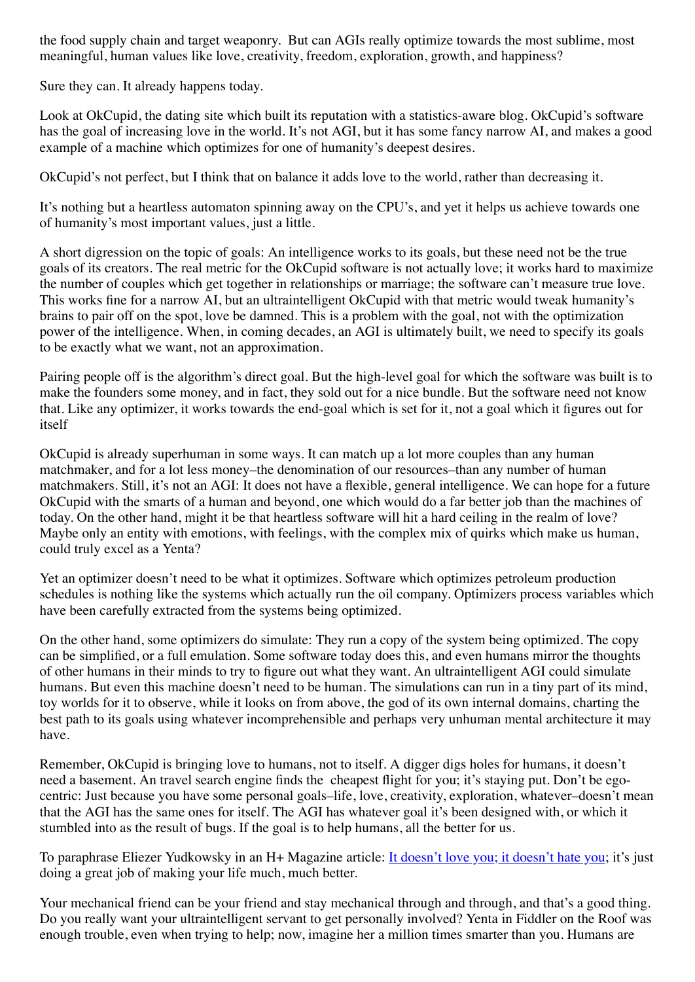the food supply chain and target weaponry. But can AGIs really optimize towards the most sublime, most meaningful, human values like love, creativity, freedom, exploration, growth, and happiness?

Sure they can. It already happens today.

Look at OkCupid, the dating site which built its reputation with a statistics-aware blog. OkCupid's software has the goal of increasing love in the world. It's not AGI, but it has some fancy narrow AI, and makes a good example of a machine which optimizes for one of humanity's deepest desires.

OkCupid's not perfect, but I think that on balance it adds love to the world, rather than decreasing it.

It's nothing but a heartless automaton spinning away on the CPU's, and yet it helps us achieve towards one of humanity's most important values, just a little.

A short digression on the topic of goals: An intelligence works to its goals, but these need not be the true goals of its creators. The real metric for the OkCupid software is not actually love; it works hard to maximize the number of couples which get together in relationships or marriage; the software can't measure true love. This works fine for a narrow AI, but an ultraintelligent OkCupid with that metric would tweak humanity's brains to pair off on the spot, love be damned. This is a problem with the goal, not with the optimization power of the intelligence. When, in coming decades, an AGI is ultimately built, we need to specify its goals to be exactly what we want, not an approximation.

Pairing people off is the algorithm's direct goal. But the high-level goal for which the software was built is to make the founders some money, and in fact, they sold out for a nice bundle. But the software need not know that. Like any optimizer, it works towards the end-goal which is set for it, not a goal which it figures out for itself

OkCupid is already superhuman in some ways. It can match up a lot more couples than any human matchmaker, and for a lot less money–the denomination of our resources–than any number of human matchmakers. Still, it's not an AGI: It does not have a flexible, general intelligence. We can hope for a future OkCupid with the smarts of a human and beyond, one which would do a far better job than the machines of today. On the other hand, might it be that heartless software will hit a hard ceiling in the realm of love? Maybe only an entity with emotions, with feelings, with the complex mix of quirks which make us human, could truly excel as a Yenta?

Yet an optimizer doesn't need to be what it optimizes. Software which optimizes petroleum production schedules is nothing like the systems which actually run the oil company. Optimizers process variables which have been carefully extracted from the systems being optimized.

On the other hand, some optimizers do simulate: They run a copy of the system being optimized. The copy can be simplified, or a full emulation. Some software today does this, and even humans mirror the thoughts of other humans in their minds to try to figure out what they want. An ultraintelligent AGI could simulate humans. But even this machine doesn't need to be human. The simulations can run in a tiny part of its mind, toy worlds for it to observe, while it looks on from above, the god of its own internal domains, charting the best path to its goals using whatever incomprehensible and perhaps very unhuman mental architecture it may have.

Remember, OkCupid is bringing love to humans, not to itself. A digger digs holes for humans, it doesn't need a basement. An travel search engine finds the cheapest flight for you; it's staying put. Don't be egocentric: Just because you have some personal goals–life, love, creativity, exploration, whatever–doesn't mean that the AGI has the same ones for itself. The AGI has whatever goal it's been designed with, or which it stumbled into as the result of bugs. If the goal is to help humans, all the better for us.

To paraphrase Eliezer Yudkowsky in an H+ Magazine article: [It doesn't love you; it doesn't hate you](http://singinst.org/AIRisk.pdf); it's just doing a great job of making your life much, much better.

Your mechanical friend can be your friend and stay mechanical through and through, and that's a good thing. Do you really want your ultraintelligent servant to get personally involved? Yenta in Fiddler on the Roof was enough trouble, even when trying to help; now, imagine her a million times smarter than you. Humans are